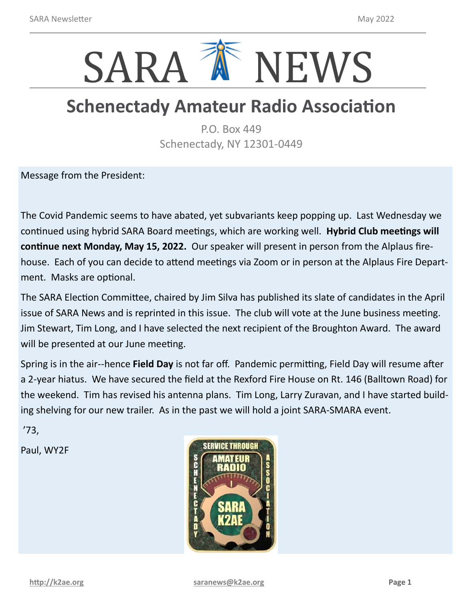

# **Schenectady Amateur Radio Association**

P.O. Box 449 Schenectady, NY 12301-0449

Message from the President:

The Covid Pandemic seems to have abated, yet subvariants keep popping up. Last Wednesday we continued using hybrid SARA Board meetings, which are working well. **Hybrid Club meetings will continue next Monday, May 15, 2022.** Our speaker will present in person from the Alplaus firehouse. Each of you can decide to attend meetings via Zoom or in person at the Alplaus Fire Department. Masks are optional.

The SARA Election Committee, chaired by Jim Silva has published its slate of candidates in the April issue of SARA News and is reprinted in this issue. The club will vote at the June business meeting. Jim Stewart, Tim Long, and I have selected the next recipient of the Broughton Award. The award will be presented at our June meeting.

Spring is in the air--hence **Field Day** is not far off. Pandemic permitting, Field Day will resume after a 2-year hiatus. We have secured the field at the Rexford Fire House on Rt. 146 (Balltown Road) for the weekend. Tim has revised his antenna plans. Tim Long, Larry Zuravan, and I have started building shelving for our new trailer. As in the past we will hold a joint SARA-SMARA event.

'73,

Paul, WY2F

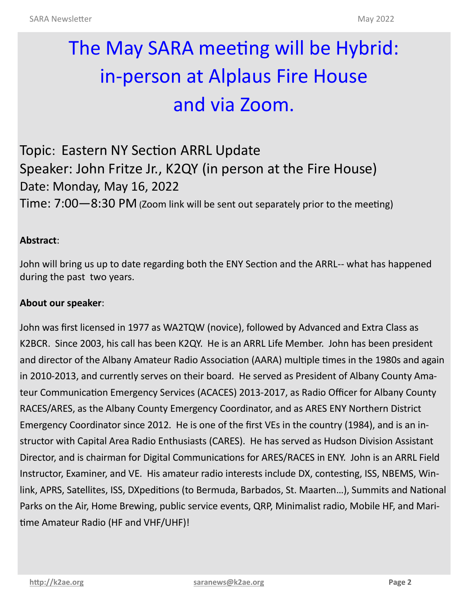# The May SARA meeting will be Hybrid: in-person at Alplaus Fire House and via Zoom.

Topic: Eastern NY Section ARRL Update Speaker: John Fritze Jr., K2QY (in person at the Fire House) Date: Monday, May 16, 2022 Time: 7:00—8:30 PM (Zoom link will be sent out separately prior to the meeting)

#### **Abstract**:

John will bring us up to date regarding both the ENY Section and the ARRL-- what has happened during the past two years.

#### **About our speaker**:

John was first licensed in 1977 as WA2TQW (novice), followed by Advanced and Extra Class as K2BCR. Since 2003, his call has been K2QY. He is an ARRL Life Member. John has been president and director of the Albany Amateur Radio Association (AARA) multiple times in the 1980s and again in 2010-2013, and currently serves on their board. He served as President of Albany County Amateur Communication Emergency Services (ACACES) 2013-2017, as Radio Officer for Albany County RACES/ARES, as the Albany County Emergency Coordinator, and as ARES ENY Northern District Emergency Coordinator since 2012. He is one of the first VEs in the country (1984), and is an instructor with Capital Area Radio Enthusiasts (CARES). He has served as Hudson Division Assistant Director, and is chairman for Digital Communications for ARES/RACES in ENY. John is an ARRL Field Instructor, Examiner, and VE. His amateur radio interests include DX, contesting, ISS, NBEMS, Winlink, APRS, Satellites, ISS, DXpeditions (to Bermuda, Barbados, St. Maarten…), Summits and National Parks on the Air, Home Brewing, public service events, QRP, Minimalist radio, Mobile HF, and Maritime Amateur Radio (HF and VHF/UHF)!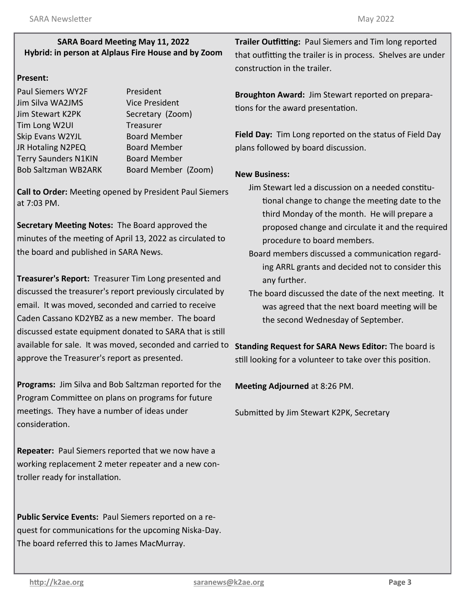#### **SARA Board Meeting May 11, 2022 Hybrid: in person at Alplaus Fire House and by Zoom**

#### **Present:**

| President             |
|-----------------------|
| <b>Vice President</b> |
| Secretary (Zoom)      |
| Treasurer             |
| <b>Board Member</b>   |
| <b>Board Member</b>   |
| <b>Board Member</b>   |
| Board Member (Zoom)   |
|                       |

**Call to Order:** Meeting opened by President Paul Siemers at 7:03 PM.

**Secretary Meeting Notes:** The Board approved the minutes of the meeting of April 13, 2022 as circulated to the board and published in SARA News.

**Treasurer's Report:** Treasurer Tim Long presented and discussed the treasurer's report previously circulated by email. It was moved, seconded and carried to receive Caden Cassano KD2YBZ as a new member. The board discussed estate equipment donated to SARA that is still available for sale. It was moved, seconded and carried to **Standing Request for SARA News Editor:** The board is approve the Treasurer's report as presented.

**Programs:** Jim Silva and Bob Saltzman reported for the Program Committee on plans on programs for future meetings. They have a number of ideas under consideration.

**Repeater:** Paul Siemers reported that we now have a working replacement 2 meter repeater and a new controller ready for installation.

**Public Service Events:** Paul Siemers reported on a request for communications for the upcoming Niska-Day. The board referred this to James MacMurray.

**Trailer Outfitting:** Paul Siemers and Tim long reported that outfitting the trailer is in process. Shelves are under construction in the trailer.

**Broughton Award:** Jim Stewart reported on preparations for the award presentation.

**Field Day:** Tim Long reported on the status of Field Day plans followed by board discussion.

#### **New Business:**

- Jim Stewart led a discussion on a needed constitutional change to change the meeting date to the third Monday of the month. He will prepare a proposed change and circulate it and the required procedure to board members.
- Board members discussed a communication regarding ARRL grants and decided not to consider this any further.
- The board discussed the date of the next meeting. It was agreed that the next board meeting will be the second Wednesday of September.

still looking for a volunteer to take over this position.

**Meeting Adjourned** at 8:26 PM.

Submitted by Jim Stewart K2PK, Secretary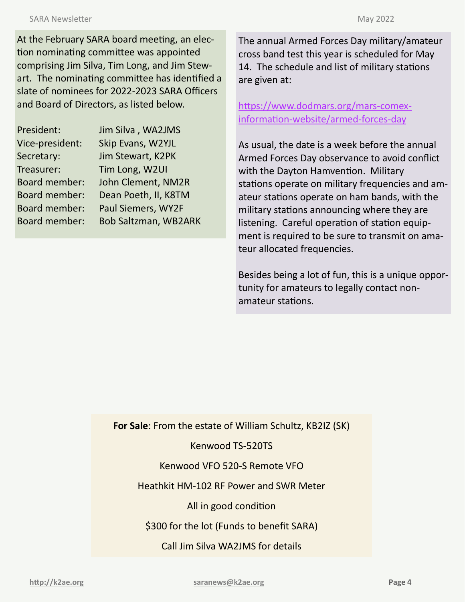At the February SARA board meeting, an election nominating committee was appointed comprising Jim Silva, Tim Long, and Jim Stewart. The nominating committee has identified a slate of nominees for 2022-2023 SARA Officers and Board of Directors, as listed below.

| President:           | Jim Silva, WA2JMS           |
|----------------------|-----------------------------|
| Vice-president:      | Skip Evans, W2YJL           |
| Secretary:           | Jim Stewart, K2PK           |
| Treasurer:           | Tim Long, W2UI              |
| Board member:        | John Clement, NM2R          |
| <b>Board member:</b> | Dean Poeth, II, K8TM        |
| <b>Board member:</b> | Paul Siemers, WY2F          |
| <b>Board member:</b> | <b>Bob Saltzman, WB2ARK</b> |

The annual Armed Forces Day military/amateur cross band test this year is scheduled for May 14. The schedule and list of military stations are given at:

[https://www.dodmars.org/mars](https://www.dodmars.org/mars-comex-information-website/armed-forces-day)-comexinformation-[website/armed](https://www.dodmars.org/mars-comex-information-website/armed-forces-day)-forces-day

As usual, the date is a week before the annual Armed Forces Day observance to avoid conflict with the Dayton Hamvention. Military stations operate on military frequencies and amateur stations operate on ham bands, with the military stations announcing where they are listening. Careful operation of station equipment is required to be sure to transmit on amateur allocated frequencies.

Besides being a lot of fun, this is a unique opportunity for amateurs to legally contact nonamateur stations.

**For Sale**: From the estate of William Schultz, KB2IZ (SK)

Kenwood TS-520TS

Kenwood VFO 520-S Remote VFO

Heathkit HM-102 RF Power and SWR Meter

All in good condition

\$300 for the lot (Funds to benefit SARA)

Call Jim Silva WA2JMS for details

**<http://k2ae.org> [saranews@k2ae.org](mailto:saranews@k2ae.org) Page 4**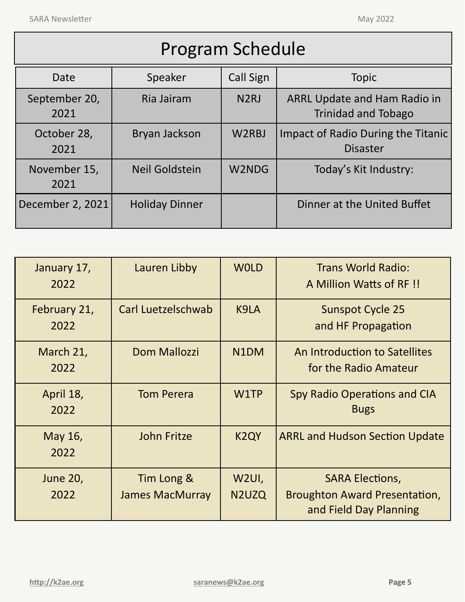Г

| <b>Program Schedule</b> |                       |                    |                                                                   |  |  |
|-------------------------|-----------------------|--------------------|-------------------------------------------------------------------|--|--|
| Date                    | Speaker               | <b>Call Sign</b>   | <b>Topic</b>                                                      |  |  |
| September 20,<br>2021   | Ria Jairam            | N <sub>2</sub> RJ  | <b>ARRL Update and Ham Radio in</b><br><b>Trinidad and Tobago</b> |  |  |
| October 28,<br>2021     | Bryan Jackson         | W <sub>2</sub> RBJ | Impact of Radio During the Titanic<br><b>Disaster</b>             |  |  |
| November 15,<br>2021    | Neil Goldstein        | W2NDG              | Today's Kit Industry:                                             |  |  |
| December 2, 2021        | <b>Holiday Dinner</b> |                    | Dinner at the United Buffet                                       |  |  |

| January 17,<br>2022     | Lauren Libby                         | <b>WOLD</b>                              | <b>Trans World Radio:</b><br>A Million Watts of RF!                                      |
|-------------------------|--------------------------------------|------------------------------------------|------------------------------------------------------------------------------------------|
| February 21,<br>2022    | Carl Luetzelschwab                   | K9LA                                     | <b>Sunspot Cycle 25</b><br>and HF Propagation                                            |
| March 21,<br>2022       | <b>Dom Mallozzi</b>                  | N <sub>1</sub> DM                        | An Introduction to Satellites<br>for the Radio Amateur                                   |
| April 18,<br>2022       | <b>Tom Perera</b>                    | W1TP                                     | <b>Spy Radio Operations and CIA</b><br><b>Bugs</b>                                       |
| May 16,<br>2022         | <b>John Fritze</b>                   | K <sub>2</sub> QY                        | <b>ARRL and Hudson Section Update</b>                                                    |
| <b>June 20,</b><br>2022 | Tim Long &<br><b>James MacMurray</b> | W2UI,<br>N <sub>2</sub> U <sub>z</sub> Q | <b>SARA Elections,</b><br><b>Broughton Award Presentation,</b><br>and Field Day Planning |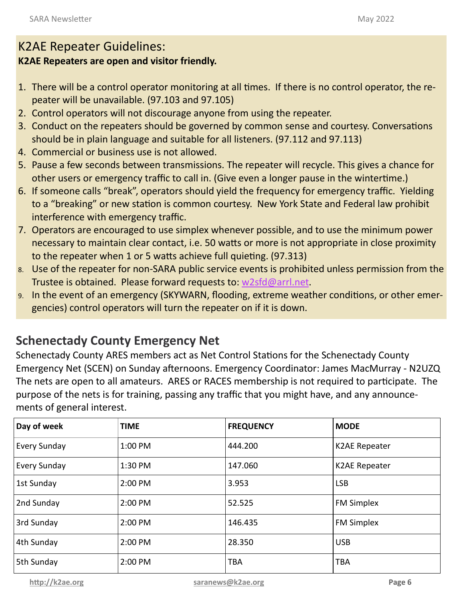## K2AE Repeater Guidelines:

### **K2AE Repeaters are open and visitor friendly.**

- 1. There will be a control operator monitoring at all times. If there is no control operator, the repeater will be unavailable. (97.103 and 97.105)
- 2. Control operators will not discourage anyone from using the repeater.
- 3. Conduct on the repeaters should be governed by common sense and courtesy. Conversations should be in plain language and suitable for all listeners. (97.112 and 97.113)
- 4. Commercial or business use is not allowed.
- 5. Pause a few seconds between transmissions. The repeater will recycle. This gives a chance for other users or emergency traffic to call in. (Give even a longer pause in the wintertime.)
- 6. If someone calls "break", operators should yield the frequency for emergency traffic. Yielding to a "breaking" or new station is common courtesy. New York State and Federal law prohibit interference with emergency traffic.
- 7. Operators are encouraged to use simplex whenever possible, and to use the minimum power necessary to maintain clear contact, i.e. 50 watts or more is not appropriate in close proximity to the repeater when 1 or 5 watts achieve full quieting. (97.313)
- 8. Use of the repeater for non-SARA public service events is prohibited unless permission from the Trustee is obtained. Please forward requests to: [w2sfd@arrl.net.](mailto:w2sfd@arrl.net)
- 9. In the event of an emergency (SKYWARN, flooding, extreme weather conditions, or other emergencies) control operators will turn the repeater on if it is down.

## **Schenectady County Emergency Net**

Schenectady County ARES members act as Net Control Stations for the Schenectady County Emergency Net (SCEN) on Sunday afternoons. Emergency Coordinator: James MacMurray - N2UZQ The nets are open to all amateurs. ARES or RACES membership is not required to participate. The purpose of the nets is for training, passing any traffic that you might have, and any announcements of general interest.

| Day of week         | <b>TIME</b> | <b>FREQUENCY</b> | <b>MODE</b>          |
|---------------------|-------------|------------------|----------------------|
| Every Sunday        | 1:00 PM     | 444.200          | <b>K2AE Repeater</b> |
| <b>Every Sunday</b> | 1:30 PM     | 147.060          | <b>K2AE Repeater</b> |
| 1st Sunday          | 2:00 PM     | 3.953            | <b>LSB</b>           |
| 2nd Sunday          | 2:00 PM     | 52.525           | <b>FM Simplex</b>    |
| 3rd Sunday          | 2:00 PM     | 146.435          | <b>FM Simplex</b>    |
| 4th Sunday          | 2:00 PM     | 28.350           | <b>USB</b>           |
| 5th Sunday          | 2:00 PM     | <b>TBA</b>       | <b>TBA</b>           |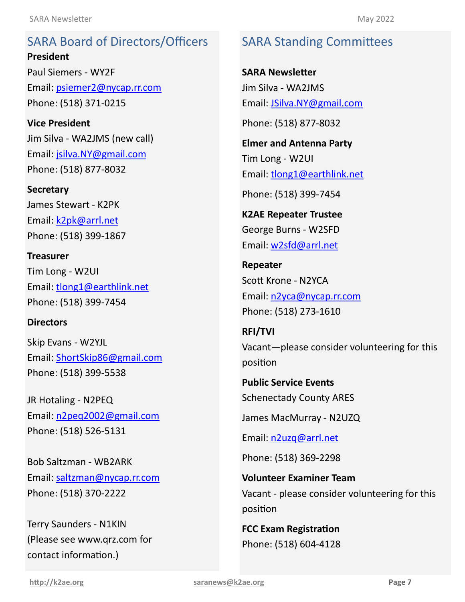SARA Board of Directors/Officers **President President** Email: [psiemer2@nycap.rr.com](mailto:psiemer2@nycap.rr.com) <u>\_\_\_\_\_\_\_</u><br>D.R. Hotaling - N2PEQ Phone: (518) 371-0215 SARA Board of Directors/Officers Paul Siemers - WY2F

**Vice President Vice President** Jim Silva - WA2JMS (new call) Email: [jsilva.NY@gmail.com](mailto:jsilva.NY@gmail.com) Phone: (518) 877-8032

**Secretary Secretary** James Stewart - K2PK James Stewart - K2PK Email: **k2pk@arrl.net** Phone: (518) 399-1867 Phone: (518) 399-1867

**Treasurer**Tim Long - W2UI Email: [tlong1@earthlink.net](mailto:tlong1@earthlink.net) Tim Long - W2UI **Director** Email: [tlong1@earthlink.net](mailto:tlong1@earthlink.net) Phone: (518) 399-7454 **Treasurer**

## **Directors**

**Director** Skip Evans - W2YJL Email: **[ShortSkip86@gmail.com](mailto:ShortSkip86@gmail.com)** Phone: (518) 399-5538

**Director** JR Hotaling - N2PEQ Email: [n2peq2002@gmail.com](mailto:n2peq2002@gmail.com) Phone: (518) 526-5131

**Director** Bob Saltzman - WB2ARK  $\mathbf{F}$  satisfy  $\mathbf{F}$  is the number of  $\mathbf{S}$ Email: <mark>terremail@thycopathic</mark> Phone: (518) 370-2222 Email: saltzman@nycap.rr.com

Terry Saunders - N1KIN (Please see www.qrz.com for contact information.)

## SARA Standing Committees SARA Standing Committees

**SARA Newsletter** Jim Silva - WA2JMS jim Silva - KC2 Email: [JSilva.NY@gmail.com](mailto:JSilva.NY@gmail.com) Email: [JSilva.NY@gmail.com](mailto:JSilva.NY@gmail.com) **SARA Newsletter**

Phone: (518) 877-8032 Phone: (518) 877-8032

**Elmer and Antenna Party Elmer and Antenna Party**  $\blacksquare$ Tim Long - W2UI Email: <u>[tlong1@earthlink.net](mailto:tlong1@earthlink.net)</u>

Phone: (518) 399-7454

 $\frac{1}{2}$ K2AE Repeater Trustee **Repeater** George Burns - W2SFD Email: <u>[w2sfd@arrl.net](mailto:w2sfd@arrl.net)</u>

**Repeater Repeater** Scott Krone - N2YCA **RFI/TVI** Email: [n2yca@nycap.rr.com](mailto:n2yca@nycap.rr.com) open.<br>Open **Public Service Events** Phone: (518) 273-1610

Schenectady County ARES **RFI/TVI** Vacant-please consider volunteering for this position and the position

Phone: (518) 369-2298 **Public Service Events** Schenectady County ARES

**FCC Exam Registration** James MacMurray - N2UZQ

Phone: (518) 604-4128 Email: [n2uzq@arrl.net](mailto:n2uzq@arrl.net)

Phone: (518) 369-2298

**Volunteer Examiner Team** Vacant - please consider volunteering for this position

**FCC Exam Registration** Phone: (518) 604-4128